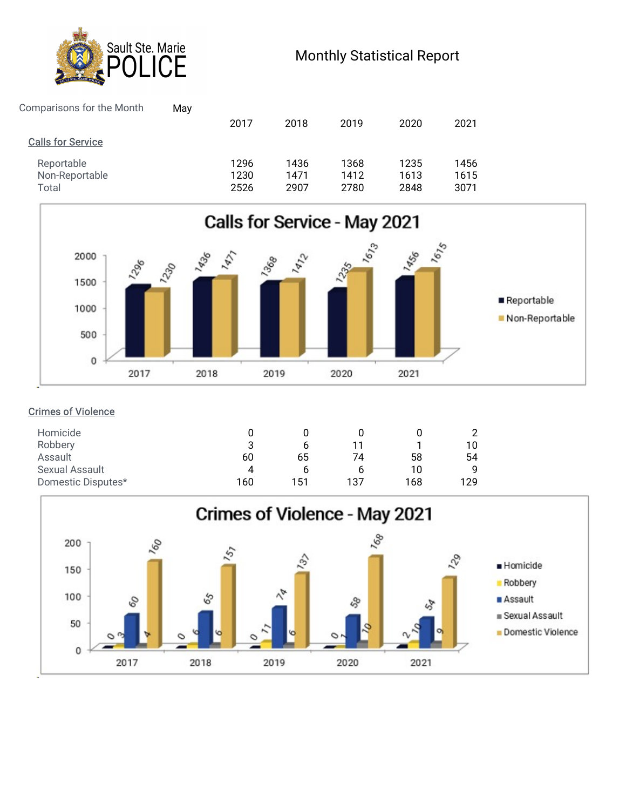

# Monthly Statistical Report

| Sault Ste. Marie                                             |      |      |      |                                   |      |  |
|--------------------------------------------------------------|------|------|------|-----------------------------------|------|--|
| <b>CE</b>                                                    |      |      |      | <b>Monthly Statistical Report</b> |      |  |
| Comparisons for the Month<br>May<br><b>Calls for Service</b> | 2017 | 2018 | 2019 | 2020                              | 2021 |  |



## Crimes of Violence

| ີ<br>ت |     | 11  |     | 10  |
|--------|-----|-----|-----|-----|
| 60     | 65  | 74  | 58  | 54  |
| 4      | O   | h   | 10  |     |
| 160    | 151 | 137 | 168 | 129 |
|        |     |     |     |     |